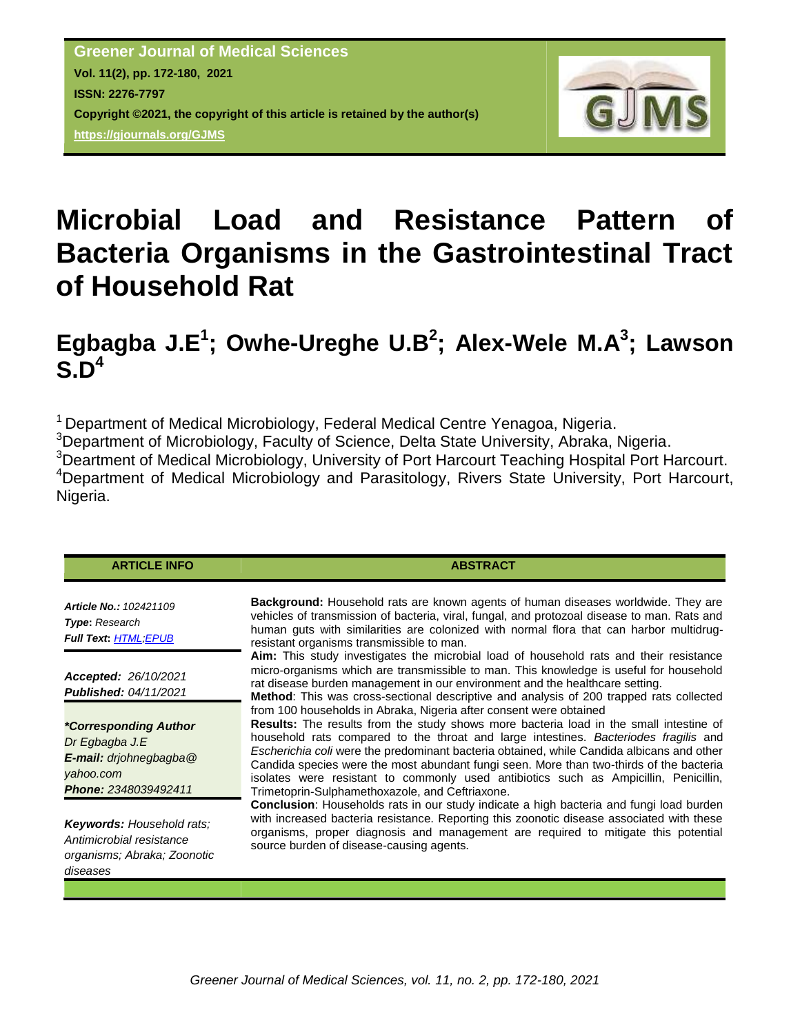

# **Microbial Load and Resistance Pattern of Bacteria Organisms in the Gastrointestinal Tract of Household Rat**

# **Egbagba J.E<sup>1</sup> ; Owhe-Ureghe U.B<sup>2</sup> ; Alex-Wele M.A<sup>3</sup> ; Lawson S.D<sup>4</sup>**

<sup>1</sup> Department of Medical Microbiology, Federal Medical Centre Yenagoa, Nigeria. <sup>3</sup>Department of Microbiology, Faculty of Science, Delta State University, Abraka, Nigeria. <sup>3</sup>Deartment of Medical Microbiology, University of Port Harcourt Teaching Hospital Port Harcourt. <sup>4</sup>Department of Medical Microbiology and Parasitology, Rivers State University, Port Harcourt, Nigeria.

| <b>ABSTRACT</b>                                                                                                                                                                                                                                                                                                                                                                                                                                                                                                                                                                                |
|------------------------------------------------------------------------------------------------------------------------------------------------------------------------------------------------------------------------------------------------------------------------------------------------------------------------------------------------------------------------------------------------------------------------------------------------------------------------------------------------------------------------------------------------------------------------------------------------|
| <b>Background:</b> Household rats are known agents of human diseases worldwide. They are<br>vehicles of transmission of bacteria, viral, fungal, and protozoal disease to man. Rats and<br>human guts with similarities are colonized with normal flora that can harbor multidrug-<br>resistant organisms transmissible to man.                                                                                                                                                                                                                                                                |
| Aim: This study investigates the microbial load of household rats and their resistance<br>micro-organisms which are transmissible to man. This knowledge is useful for household<br>rat disease burden management in our environment and the healthcare setting.<br>Method: This was cross-sectional descriptive and analysis of 200 trapped rats collected                                                                                                                                                                                                                                    |
| from 100 households in Abraka, Nigeria after consent were obtained<br><b>Results:</b> The results from the study shows more bacteria load in the small intestine of<br>household rats compared to the throat and large intestines. Bacteriodes fragilis and<br>Escherichia coli were the predominant bacteria obtained, while Candida albicans and other<br>Candida species were the most abundant fungi seen. More than two-thirds of the bacteria<br>isolates were resistant to commonly used antibiotics such as Ampicillin, Penicillin,<br>Trimetoprin-Sulphamethoxazole, and Ceftriaxone. |
| <b>Conclusion:</b> Households rats in our study indicate a high bacteria and fungi load burden<br>with increased bacteria resistance. Reporting this zoonotic disease associated with these<br>organisms, proper diagnosis and management are required to mitigate this potential<br>source burden of disease-causing agents.                                                                                                                                                                                                                                                                  |
|                                                                                                                                                                                                                                                                                                                                                                                                                                                                                                                                                                                                |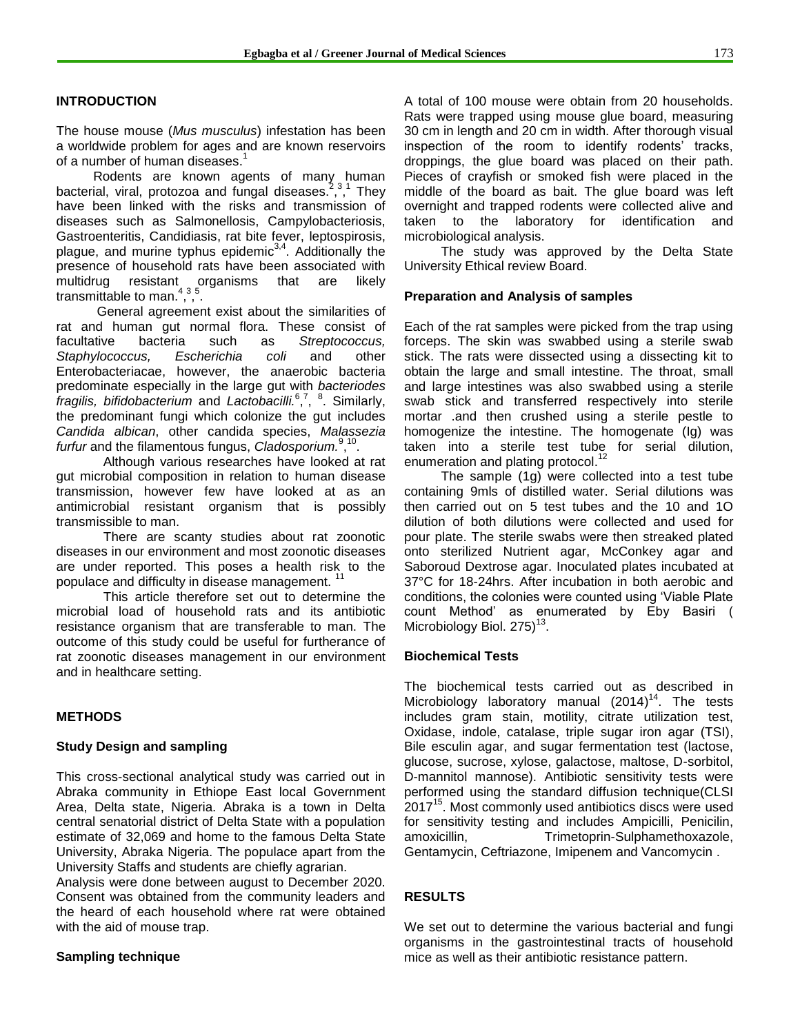#### **INTRODUCTION**

The house mouse (*Mus musculus*) infestation has been a worldwide problem for ages and are known reservoirs of a number of human diseases.<sup>1</sup>

Rodents are known agents of many human bacterial, viral, protozoa and fungal diseases.<sup>2</sup>,<sup>3</sup> , 1 They have been linked with the risks and transmission of diseases such as Salmonellosis, Campylobacteriosis, Gastroenteritis, Candidiasis, rat bite fever, leptospirosis, plague, and murine typhus epidemic<sup>3,4</sup>. Additionally the presence of household rats have been associated with multidrug resistant organisms that are likely transmittable to man.<sup>4,3,5</sup>.

General agreement exist about the similarities of rat and human gut normal flora. These consist of facultative bacteria such as *Streptococcus, Staphylococcus, Escherichia coli* and other Enterobacteriacae, however, the anaerobic bacteria predominate especially in the large gut with *bacteriodes fragilis, bifidobacterium* and *Lactobacilli.* 6 , 7 , 8 . Similarly, the predominant fungi which colonize the gut includes *Candida albican*, other candida species, *Malassezia*  furfur and the filamentous fungus, Cladosporium.<sup>9,10</sup>.

Although various researches have looked at rat gut microbial composition in relation to human disease transmission, however few have looked at as an antimicrobial resistant organism that is possibly transmissible to man.

There are scanty studies about rat zoonotic diseases in our environment and most zoonotic diseases are under reported. This poses a health risk to the populace and difficulty in disease management.<sup>11</sup>

This article therefore set out to determine the microbial load of household rats and its antibiotic resistance organism that are transferable to man. The outcome of this study could be useful for furtherance of rat zoonotic diseases management in our environment and in healthcare setting.

#### **METHODS**

#### **Study Design and sampling**

This cross-sectional analytical study was carried out in Abraka community in Ethiope East local Government Area, Delta state, Nigeria. Abraka is a town in Delta central senatorial district of Delta State with a population estimate of 32,069 and home to the famous Delta State University, Abraka Nigeria. The populace apart from the University Staffs and students are chiefly agrarian.

Analysis were done between august to December 2020. Consent was obtained from the community leaders and the heard of each household where rat were obtained with the aid of mouse trap.

#### **Sampling technique**

A total of 100 mouse were obtain from 20 households. Rats were trapped using mouse glue board, measuring 30 cm in length and 20 cm in width. After thorough visual inspection of the room to identify rodents' tracks, droppings, the glue board was placed on their path. Pieces of crayfish or smoked fish were placed in the middle of the board as bait. The glue board was left overnight and trapped rodents were collected alive and taken to the laboratory for identification and microbiological analysis.

The study was approved by the Delta State University Ethical review Board.

#### **Preparation and Analysis of samples**

Each of the rat samples were picked from the trap using forceps. The skin was swabbed using a sterile swab stick. The rats were dissected using a dissecting kit to obtain the large and small intestine. The throat, small and large intestines was also swabbed using a sterile swab stick and transferred respectively into sterile mortar .and then crushed using a sterile pestle to homogenize the intestine. The homogenate (Ig) was taken into a sterile test tube for serial dilution, enumeration and plating protocol.<sup>12</sup>

The sample (1g) were collected into a test tube containing 9mls of distilled water. Serial dilutions was then carried out on 5 test tubes and the 10 and 1O dilution of both dilutions were collected and used for pour plate. The sterile swabs were then streaked plated onto sterilized Nutrient agar, McConkey agar and Saboroud Dextrose agar. Inoculated plates incubated at 37°C for 18-24hrs. After incubation in both aerobic and conditions, the colonies were counted using "Viable Plate count Method" as enumerated by Eby Basiri ( Microbiology Biol. 275) $^{13}$ .

#### **Biochemical Tests**

The biochemical tests carried out as described in Microbiology laboratory manual (2014)<sup>14</sup>. The tests includes gram stain, motility, citrate utilization test, Oxidase, indole, catalase, triple sugar iron agar (TSI), Bile esculin agar, and sugar fermentation test (lactose, glucose, sucrose, xylose, galactose, maltose, D-sorbitol, D-mannitol mannose). Antibiotic sensitivity tests were performed using the standard diffusion technique(CLSI 2017<sup>15</sup>. Most commonly used antibiotics discs were used for sensitivity testing and includes Ampicilli, Penicilin, amoxicillin, Trimetoprin-Sulphamethoxazole, Gentamycin, Ceftriazone, Imipenem and Vancomycin .

#### **RESULTS**

We set out to determine the various bacterial and fungi organisms in the gastrointestinal tracts of household mice as well as their antibiotic resistance pattern.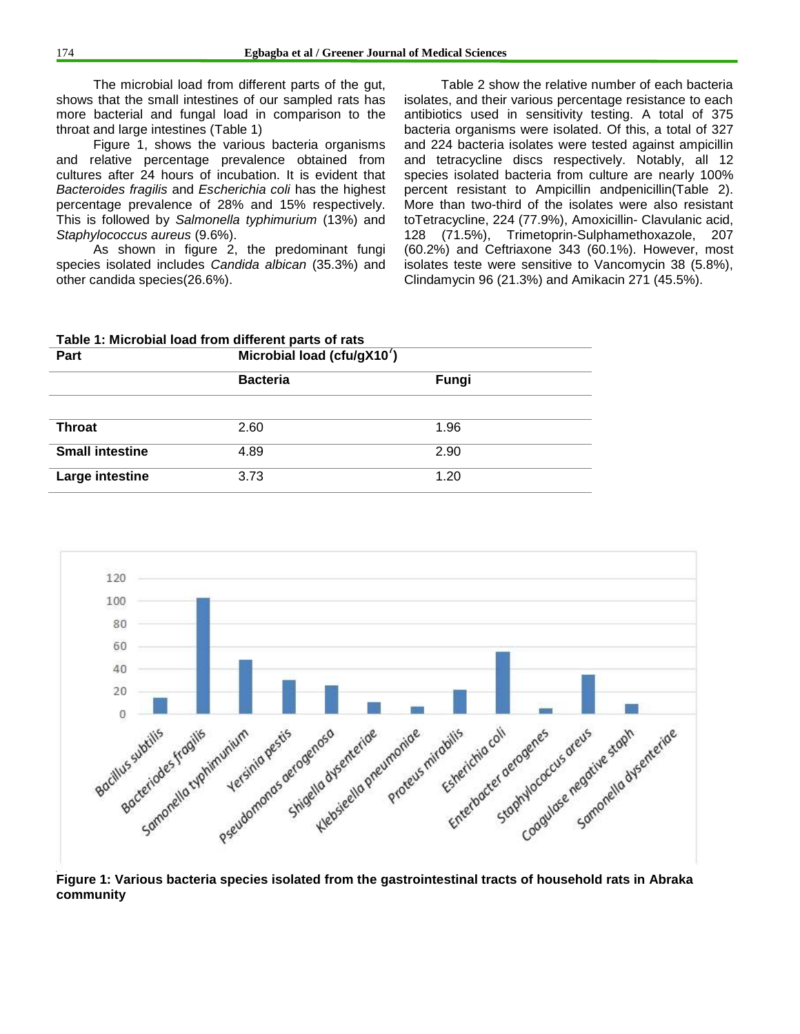The microbial load from different parts of the gut, shows that the small intestines of our sampled rats has more bacterial and fungal load in comparison to the throat and large intestines (Table 1)

Figure 1, shows the various bacteria organisms and relative percentage prevalence obtained from cultures after 24 hours of incubation. It is evident that *Bacteroides fragilis* and *Escherichia coli* has the highest percentage prevalence of 28% and 15% respectively. This is followed by *Salmonella typhimurium* (13%) and *Staphylococcus aureus* (9.6%).

As shown in figure 2, the predominant fungi species isolated includes *Candida albican* (35.3%) and other candida species(26.6%).

Table 2 show the relative number of each bacteria isolates, and their various percentage resistance to each antibiotics used in sensitivity testing. A total of 375 bacteria organisms were isolated. Of this, a total of 327 and 224 bacteria isolates were tested against ampicillin and tetracycline discs respectively. Notably, all 12 species isolated bacteria from culture are nearly 100% percent resistant to Ampicillin andpenicillin(Table 2). More than two-third of the isolates were also resistant toTetracycline, 224 (77.9%), Amoxicillin- Clavulanic acid, 128 (71.5%), Trimetoprin-Sulphamethoxazole, 207 (60.2%) and Ceftriaxone 343 (60.1%). However, most isolates teste were sensitive to Vancomycin 38 (5.8%), Clindamycin 96 (21.3%) and Amikacin 271 (45.5%).

|                        | Table 1: Microbial load from different parts of rats |       |  |  |  |  |
|------------------------|------------------------------------------------------|-------|--|--|--|--|
| Part                   | Microbial load (cfu/gX10 $^7$ )                      |       |  |  |  |  |
|                        | <b>Bacteria</b>                                      | Fungi |  |  |  |  |
|                        |                                                      |       |  |  |  |  |
| Throat                 | 2.60                                                 | 1.96  |  |  |  |  |
| <b>Small intestine</b> | 4.89                                                 | 2.90  |  |  |  |  |
| Large intestine        | 3.73                                                 | 1.20  |  |  |  |  |



**Figure 1: Various bacteria species isolated from the gastrointestinal tracts of household rats in Abraka community**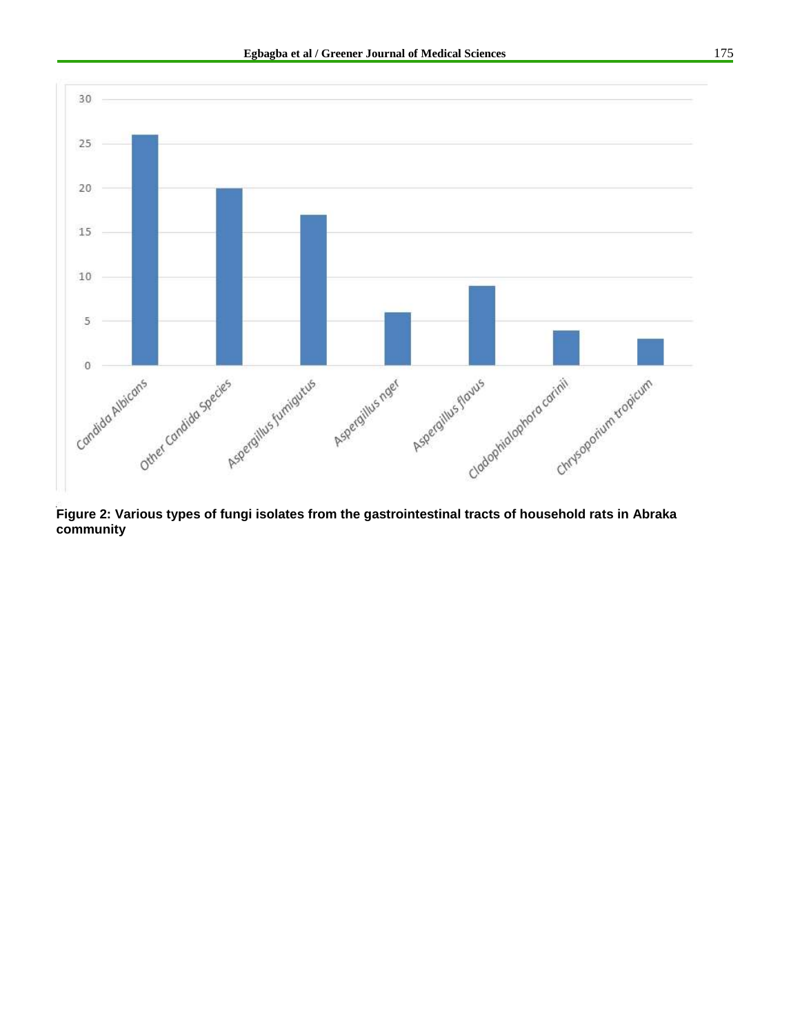

**Figure 2: Various types of fungi isolates from the gastrointestinal tracts of household rats in Abraka community**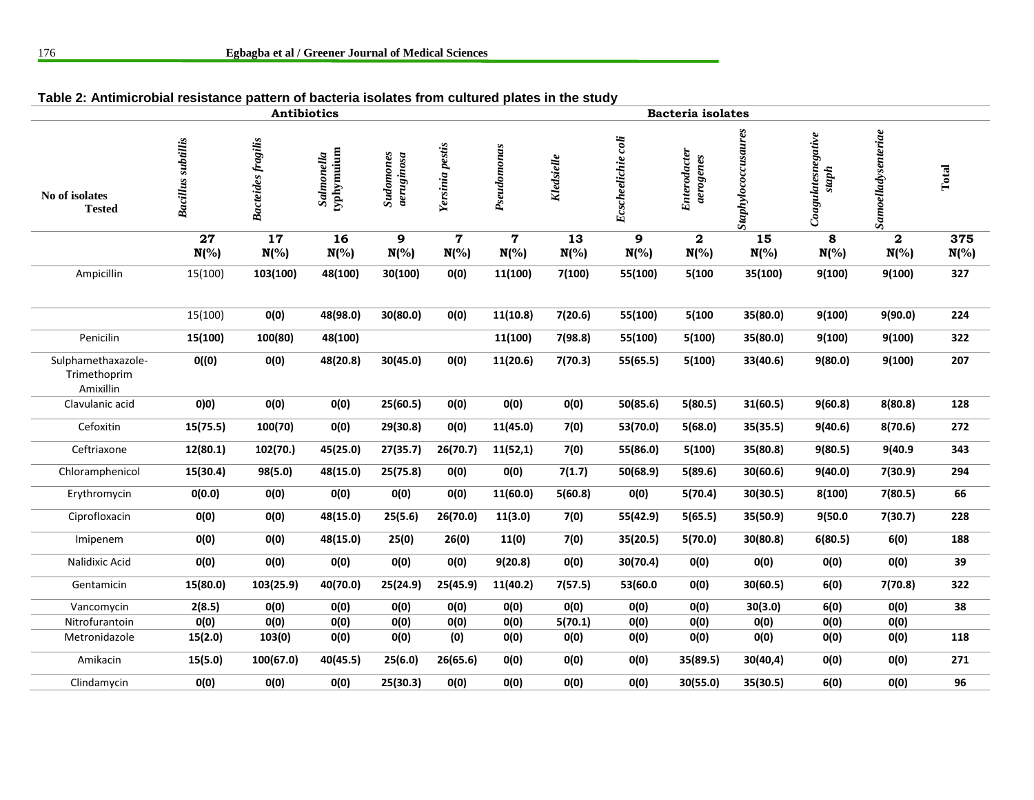| rabic 2. Antimite oblar resistance pattern or bacteria isolates from cultured plates in the study |                           |                           |                                 |                                |                        |                        |                |                    |                                    |                     |                            |                         |                |
|---------------------------------------------------------------------------------------------------|---------------------------|---------------------------|---------------------------------|--------------------------------|------------------------|------------------------|----------------|--------------------|------------------------------------|---------------------|----------------------------|-------------------------|----------------|
| <b>Antibiotics</b>                                                                                |                           |                           |                                 |                                |                        |                        |                | Bacteria isolates  |                                    |                     |                            |                         |                |
| No of isolates<br><b>Tested</b>                                                                   | <b>Bacillus</b> subtillis | <b>Bacteides</b> fragilis | <i>Salmonella</i><br>typhymuium | <b>Sudomones</b><br>aeruginosa | Yersinia pestis        | Pseudomonas            | Kledsielle     | Ecscheelichie coli | Enterodacter<br>aerogenes          | Staphylococcusaures | Coagulatesnegative<br>suph | Samoelladysenteriae     | Total          |
|                                                                                                   | 27<br>$N(\%)$             | 17<br>$N(\%)$             | 16<br>$N(\%)$                   | 9<br>$N(\%)$                   | $\mathbf 7$<br>$N(\%)$ | $\mathbf 7$<br>$N(\%)$ | 13<br>$N(\% )$ | 9<br>$N(\%)$       | $\overline{\mathbf{2}}$<br>$N(\%)$ | 15<br>$N(\%)$       | 8<br>$N(\%)$               | $\mathbf{2}$<br>$N(\%)$ | 375<br>$N(\%)$ |
| Ampicillin                                                                                        | 15(100)                   | 103(100)                  | 48(100)                         | 30(100)                        | O(0)                   | 11(100)                | 7(100)         | 55(100)            | 5(100                              | 35(100)             | 9(100)                     | 9(100)                  | 327            |
|                                                                                                   | 15(100)                   | O(0)                      | 48(98.0)                        | 30(80.0)                       | O(0)                   | 11(10.8)               | 7(20.6)        | 55(100)            | 5(100                              | 35(80.0)            | 9(100)                     | 9(90.0)                 | 224            |
| Penicilin                                                                                         | 15(100)                   | 100(80)                   | 48(100)                         |                                |                        | 11(100)                | 7(98.8)        | 55(100)            | 5(100)                             | 35(80.0)            | 9(100)                     | 9(100)                  | 322            |
| Sulphamethaxazole-<br>Trimethoprim<br>Amixillin                                                   | O((0)                     | O(0)                      | 48(20.8)                        | 30(45.0)                       | O(0)                   | 11(20.6)               | 7(70.3)        | 55(65.5)           | 5(100)                             | 33(40.6)            | 9(80.0)                    | 9(100)                  | 207            |
| Clavulanic acid                                                                                   | 0)0)                      | O(0)                      | O(0)                            | 25(60.5)                       | O(0)                   | O(0)                   | O(0)           | 50(85.6)           | 5(80.5)                            | 31(60.5)            | 9(60.8)                    | 8(80.8)                 | 128            |
| Cefoxitin                                                                                         | 15(75.5)                  | 100(70)                   | O(0)                            | 29(30.8)                       | O(0)                   | 11(45.0)               | 7(0)           | 53(70.0)           | 5(68.0)                            | 35(35.5)            | 9(40.6)                    | 8(70.6)                 | 272            |
| Ceftriaxone                                                                                       | 12(80.1)                  | 102(70.)                  | 45(25.0)                        | 27(35.7)                       | 26(70.7)               | 11(52,1)               | 7(0)           | 55(86.0)           | 5(100)                             | 35(80.8)            | 9(80.5)                    | 9(40.9                  | 343            |
| Chloramphenicol                                                                                   | 15(30.4)                  | 98(5.0)                   | 48(15.0)                        | 25(75.8)                       | O(0)                   | O(0)                   | 7(1.7)         | 50(68.9)           | 5(89.6)                            | 30(60.6)            | 9(40.0)                    | 7(30.9)                 | 294            |
| Erythromycin                                                                                      | 0(0.0)                    | O(0)                      | O(0)                            | O(0)                           | O(0)                   | 11(60.0)               | 5(60.8)        | O(0)               | 5(70.4)                            | 30(30.5)            | 8(100)                     | 7(80.5)                 | 66             |
| Ciprofloxacin                                                                                     | O(0)                      | O(0)                      | 48(15.0)                        | 25(5.6)                        | 26(70.0)               | 11(3.0)                | 7(0)           | 55(42.9)           | 5(65.5)                            | 35(50.9)            | 9(50.0                     | 7(30.7)                 | 228            |
| Imipenem                                                                                          | O(0)                      | O(0)                      | 48(15.0)                        | 25(0)                          | 26(0)                  | 11(0)                  | 7(0)           | 35(20.5)           | 5(70.0)                            | 30(80.8)            | 6(80.5)                    | 6(0)                    | 188            |
| Nalidixic Acid                                                                                    | O(0)                      | O(0)                      | O(0)                            | O(0)                           | O(0)                   | 9(20.8)                | O(0)           | 30(70.4)           | O(0)                               | O(0)                | O(0)                       | O(0)                    | 39             |
| Gentamicin                                                                                        | 15(80.0)                  | 103(25.9)                 | 40(70.0)                        | 25(24.9)                       | 25(45.9)               | 11(40.2)               | 7(57.5)        | 53(60.0            | 0(0)                               | 30(60.5)            | 6(0)                       | 7(70.8)                 | 322            |
| Vancomycin                                                                                        | 2(8.5)                    | O(0)                      | O(0)                            | O(0)                           | O(0)                   | O(0)                   | O(0)           | O(0)               | O(0)                               | 30(3.0)             | 6(0)                       | O(0)                    | 38             |
| Nitrofurantoin                                                                                    | O(0)                      | O(0)                      | O(0)                            | O(0)                           | O(0)                   | O(0)                   | 5(70.1)        | O(0)               | O(0)                               | O(0)                | O(0)                       | O(0)                    |                |
| Metronidazole                                                                                     | 15(2.0)                   | 103(0)                    | O(0)                            | O(0)                           | (0)                    | O(0)                   | O(0)           | O(0)               | O(0)                               | O(0)                | O(0)                       | O(0)                    | 118            |
| Amikacin                                                                                          | 15(5.0)                   | 100(67.0)                 | 40(45.5)                        | 25(6.0)                        | 26(65.6)               | O(0)                   | O(0)           | O(0)               | 35(89.5)                           | 30(40,4)            | O(0)                       | O(0)                    | 271            |
| Clindamycin                                                                                       | O(0)                      | O(0)                      | O(0)                            | 25(30.3)                       | O(0)                   | O(0)                   | O(0)           | O(0)               | 30(55.0)                           | 35(30.5)            | 6(0)                       | O(0)                    | 96             |

**Table 2: Antimicrobial resistance pattern of bacteria isolates from cultured plates in the study**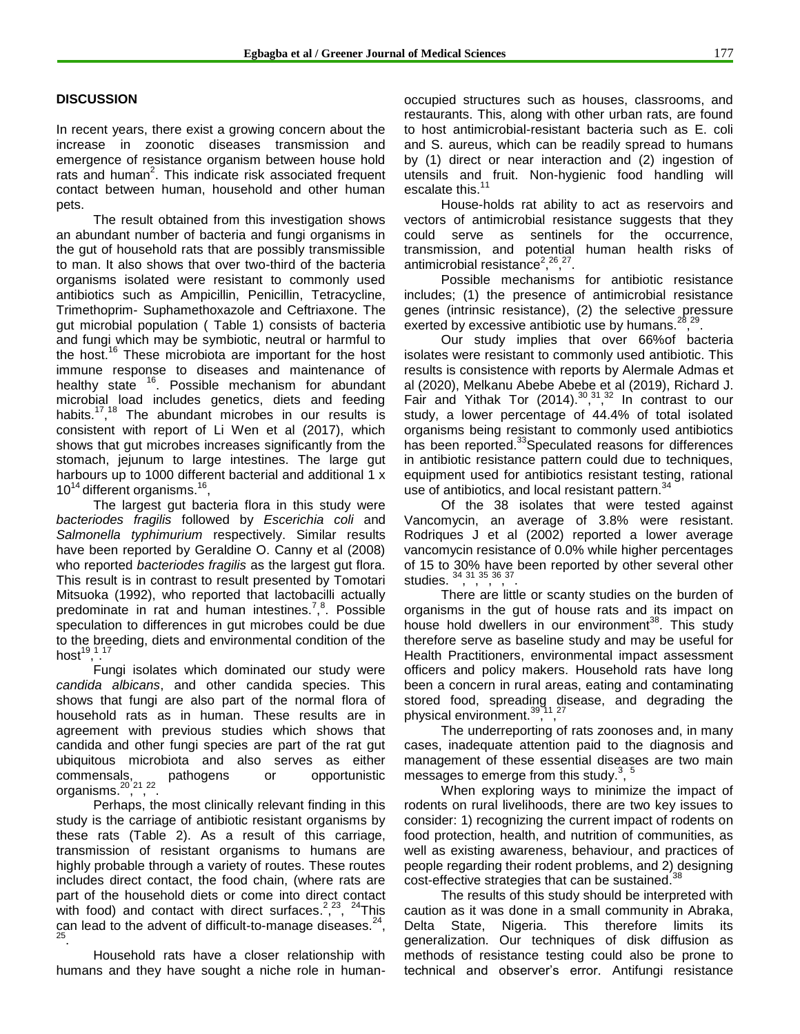#### **DISCUSSION**

In recent years, there exist a growing concern about the increase in zoonotic diseases transmission and emergence of resistance organism between house hold rats and human<sup>2</sup>. This indicate risk associated frequent contact between human, household and other human pets.

The result obtained from this investigation shows an abundant number of bacteria and fungi organisms in the gut of household rats that are possibly transmissible to man. It also shows that over two-third of the bacteria organisms isolated were resistant to commonly used antibiotics such as Ampicillin, Penicillin, Tetracycline, Trimethoprim- Suphamethoxazole and Ceftriaxone. The gut microbial population ( Table 1) consists of bacteria and fungi which may be symbiotic, neutral or harmful to the host.<sup>16</sup> These microbiota are important for the host immune response to diseases and maintenance of healthy state <sup>16</sup>. Possible mechanism for abundant microbial load includes genetics, diets and feeding habits.<sup>17,18</sup> The abundant microbes in our results is consistent with report of Li Wen et al (2017), which shows that gut microbes increases significantly from the stomach, jejunum to large intestines. The large gut harbours up to 1000 different bacterial and additional 1 x  $10^{14}$  different organisms.<sup>16</sup>,

The largest gut bacteria flora in this study were *bacteriodes fragilis* followed by *Escerichia coli* and *Salmonella typhimurium* respectively. Similar results have been reported by Geraldine O. Canny et al (2008) who reported *bacteriodes fragilis* as the largest gut flora. This result is in contrast to result presented by Tomotari Mitsuoka (1992), who reported that lactobacilli actually predominate in rat and human intestines.<sup>7,8</sup>. Possible speculation to differences in gut microbes could be due to the breeding, diets and environmental condition of the  $\mathsf{host}^{\mathsf{19,1,17}}$ 

Fungi isolates which dominated our study were *candida albicans*, and other candida species. This shows that fungi are also part of the normal flora of household rats as in human. These results are in agreement with previous studies which shows that candida and other fungi species are part of the rat gut ubiquitous microbiota and also serves as either commensals, pathogens or opportunistic organisms.<sup>20,21</sup>,<sup>22</sup>.

Perhaps, the most clinically relevant finding in this study is the carriage of antibiotic resistant organisms by these rats (Table 2). As a result of this carriage, transmission of resistant organisms to humans are highly probable through a variety of routes. These routes includes direct contact, the food chain, (where rats are part of the household diets or come into direct contact with food) and contact with direct surfaces.<sup>2,23</sup>, <sup>24</sup>This can lead to the advent of difficult-to-manage diseases. $24$ , 25 .

Household rats have a closer relationship with humans and they have sought a niche role in humanoccupied structures such as houses, classrooms, and restaurants. This, along with other urban rats, are found to host antimicrobial-resistant bacteria such as E. coli and S. aureus, which can be readily spread to humans by (1) direct or near interaction and (2) ingestion of utensils and fruit. Non-hygienic food handling will escalate this.<sup>11</sup>

House-holds rat ability to act as reservoirs and vectors of antimicrobial resistance suggests that they could serve as sentinels for the occurrence, transmission, and potential human health risks of antimicrobial resistance<sup>2</sup>,<sup>26</sup>,<sup>27</sup> .

Possible mechanisms for antibiotic resistance includes; (1) the presence of antimicrobial resistance genes (intrinsic resistance), (2) the selective pressure exerted by excessive antibiotic use by humans.<sup>28</sup>,<sup>29</sup>.

Our study implies that over 66%of bacteria isolates were resistant to commonly used antibiotic. This results is consistence with reports by Alermale Admas et al (2020), Melkanu Abebe Abebe et al (2019), Richard J. Fair and Yithak Tor  $(2014).^{30}$ ,  $^{31}$ ,  $^{32}$  In contrast to our study, a lower percentage of 44.4% of total isolated organisms being resistant to commonly used antibiotics has been reported.<sup>33</sup>Speculated reasons for differences in antibiotic resistance pattern could due to techniques, equipment used for antibiotics resistant testing, rational use of antibiotics, and local resistant pattern.<sup>3</sup>

Of the 38 isolates that were tested against Vancomycin, an average of 3.8% were resistant. Rodriques J et al (2002) reported a lower average vancomycin resistance of 0.0% while higher percentages of 15 to 30% have been reported by other several other studies.  $34, 31, 35,$ 36 , 37 .

There are little or scanty studies on the burden of organisms in the gut of house rats and its impact on house hold dwellers in our environment<sup>38</sup>. This study therefore serve as baseline study and may be useful for Health Practitioners, environmental impact assessment officers and policy makers. Household rats have long been a concern in rural areas, eating and contaminating stored food, spreading disease, and degrading the physical environment.<sup>39,11</sup>,<sup>77</sup> physical environment.<sup>39</sup>,

The underreporting of rats zoonoses and, in many cases, inadequate attention paid to the diagnosis and management of these essential diseases are two main messages to emerge from this study. $3, 5$ 

When exploring ways to minimize the impact of rodents on rural livelihoods, there are two key issues to consider: 1) recognizing the current impact of rodents on food protection, health, and nutrition of communities, as well as existing awareness, behaviour, and practices of people regarding their rodent problems, and 2) designing cost-effective strategies that can be sustained.<sup>38</sup>

The results of this study should be interpreted with caution as it was done in a small community in Abraka, Delta State, Nigeria. This therefore limits its generalization. Our techniques of disk diffusion as methods of resistance testing could also be prone to technical and observer"s error. Antifungi resistance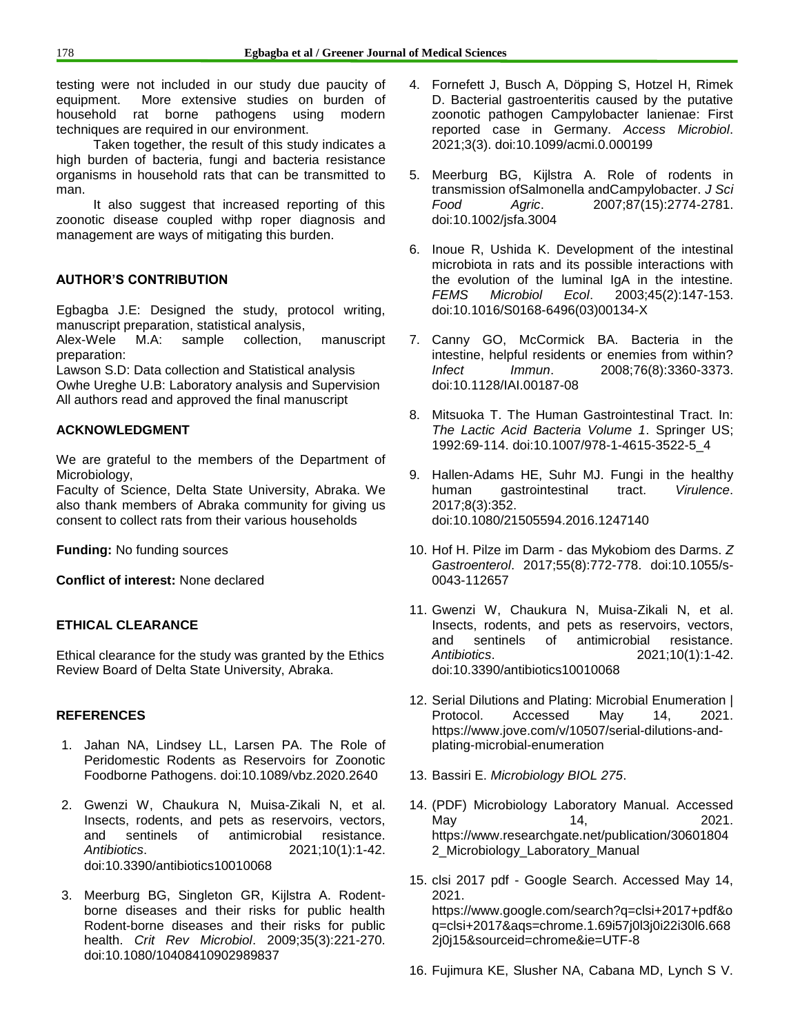testing were not included in our study due paucity of equipment. More extensive studies on burden of household rat borne pathogens using modern techniques are required in our environment.

Taken together, the result of this study indicates a high burden of bacteria, fungi and bacteria resistance organisms in household rats that can be transmitted to man.

It also suggest that increased reporting of this zoonotic disease coupled withp roper diagnosis and management are ways of mitigating this burden.

### **AUTHOR'S CONTRIBUTION**

Egbagba J.E: Designed the study, protocol writing, manuscript preparation, statistical analysis,

Alex-Wele M.A: sample collection, manuscript preparation:

Lawson S.D: Data collection and Statistical analysis Owhe Ureghe U.B: Laboratory analysis and Supervision All authors read and approved the final manuscript

# **ACKNOWLEDGMENT**

We are grateful to the members of the Department of Microbiology,

Faculty of Science, Delta State University, Abraka. We also thank members of Abraka community for giving us consent to collect rats from their various households

**Funding:** No funding sources

**Conflict of interest:** None declared

# **ETHICAL CLEARANCE**

Ethical clearance for the study was granted by the Ethics Review Board of Delta State University, Abraka.

# **REFERENCES**

- 1. Jahan NA, Lindsey LL, Larsen PA. The Role of Peridomestic Rodents as Reservoirs for Zoonotic Foodborne Pathogens. doi:10.1089/vbz.2020.2640
- 2. Gwenzi W, Chaukura N, Muisa-Zikali N, et al. Insects, rodents, and pets as reservoirs, vectors, and sentinels of antimicrobial resistance. *Antibiotics*. 2021;10(1):1-42. doi:10.3390/antibiotics10010068
- 3. Meerburg BG, Singleton GR, Kijlstra A. Rodentborne diseases and their risks for public health Rodent-borne diseases and their risks for public health. *Crit Rev Microbiol*. 2009;35(3):221-270. doi:10.1080/10408410902989837
- 4. Fornefett J, Busch A, Döpping S, Hotzel H, Rimek D. Bacterial gastroenteritis caused by the putative zoonotic pathogen Campylobacter lanienae: First reported case in Germany. *Access Microbiol*. 2021;3(3). doi:10.1099/acmi.0.000199
- 5. Meerburg BG, Kijlstra A. Role of rodents in transmission ofSalmonella andCampylobacter. *J Sci Food Agric*. 2007;87(15):2774-2781. doi:10.1002/jsfa.3004
- 6. Inoue R, Ushida K. Development of the intestinal microbiota in rats and its possible interactions with the evolution of the luminal IgA in the intestine. *FEMS Microbiol Ecol*. 2003;45(2):147-153. doi:10.1016/S0168-6496(03)00134-X
- 7. Canny GO, McCormick BA. Bacteria in the intestine, helpful residents or enemies from within? *Infect Immun*. 2008;76(8):3360-3373. doi:10.1128/IAI.00187-08
- 8. Mitsuoka T. The Human Gastrointestinal Tract. In: *The Lactic Acid Bacteria Volume 1*. Springer US; 1992:69-114. doi:10.1007/978-1-4615-3522-5\_4
- 9. Hallen-Adams HE, Suhr MJ. Fungi in the healthy human gastrointestinal tract. *Virulence*. 2017;8(3):352. doi:10.1080/21505594.2016.1247140
- 10. Hof H. Pilze im Darm das Mykobiom des Darms. *Z Gastroenterol*. 2017;55(8):772-778. doi:10.1055/s-0043-112657
- 11. Gwenzi W, Chaukura N, Muisa-Zikali N, et al. Insects, rodents, and pets as reservoirs, vectors, and sentinels of antimicrobial resistance. *Antibiotics*. 2021;10(1):1-42. doi:10.3390/antibiotics10010068
- 12. Serial Dilutions and Plating: Microbial Enumeration | Protocol. Accessed May 14, 2021. https://www.jove.com/v/10507/serial-dilutions-andplating-microbial-enumeration
- 13. Bassiri E. *Microbiology BIOL 275*.
- 14. (PDF) Microbiology Laboratory Manual. Accessed May 14, 2021. https://www.researchgate.net/publication/30601804 2\_Microbiology\_Laboratory\_Manual
- 15. clsi 2017 pdf Google Search. Accessed May 14, 2021. https://www.google.com/search?q=clsi+2017+pdf&o q=clsi+2017&aqs=chrome.1.69i57j0l3j0i22i30l6.668 2j0j15&sourceid=chrome&ie=UTF-8
- 16. Fujimura KE, Slusher NA, Cabana MD, Lynch S V.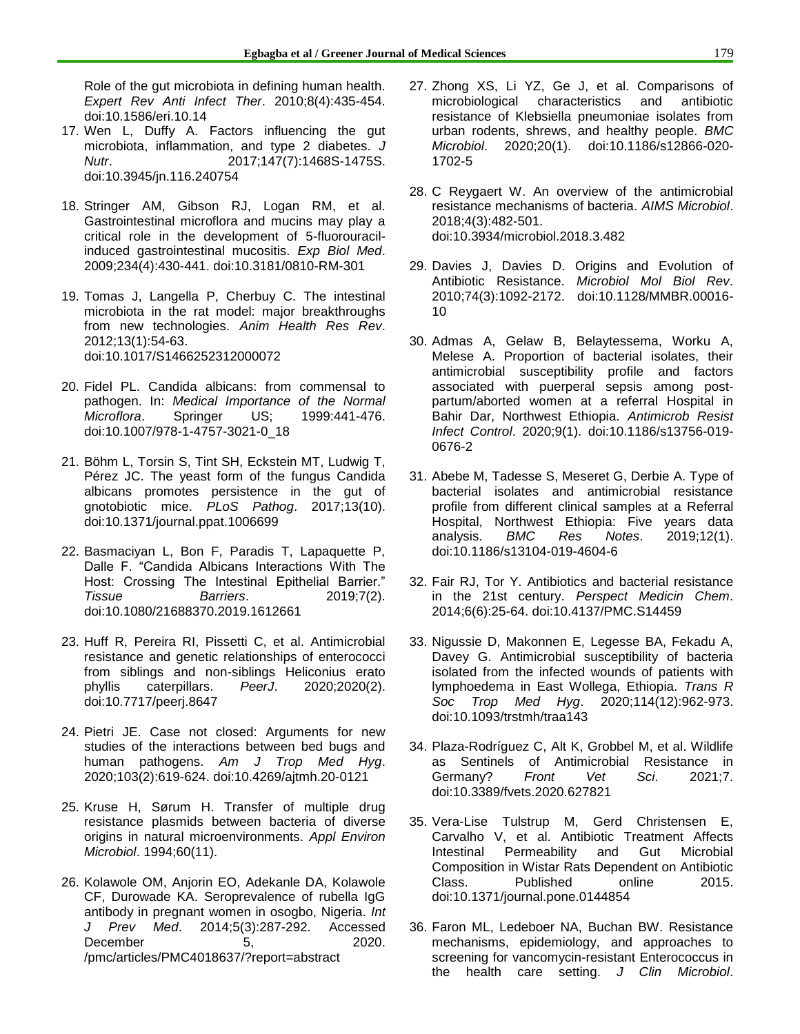Role of the gut microbiota in defining human health. *Expert Rev Anti Infect Ther*. 2010;8(4):435-454. doi:10.1586/eri.10.14

- 17. Wen L, Duffy A. Factors influencing the gut microbiota, inflammation, and type 2 diabetes. *J Nutr*. 2017;147(7):1468S-1475S. doi:10.3945/jn.116.240754
- 18. Stringer AM, Gibson RJ, Logan RM, et al. Gastrointestinal microflora and mucins may play a critical role in the development of 5-fluorouracilinduced gastrointestinal mucositis. *Exp Biol Med*. 2009;234(4):430-441. doi:10.3181/0810-RM-301
- 19. Tomas J, Langella P, Cherbuy C. The intestinal microbiota in the rat model: major breakthroughs from new technologies. *Anim Health Res Rev*. 2012;13(1):54-63. doi:10.1017/S1466252312000072
- 20. Fidel PL. Candida albicans: from commensal to pathogen. In: *Medical Importance of the Normal Microflora*. Springer US; 1999:441-476. doi:10.1007/978-1-4757-3021-0\_18
- 21. Böhm L, Torsin S, Tint SH, Eckstein MT, Ludwig T, Pérez JC. The yeast form of the fungus Candida albicans promotes persistence in the gut of gnotobiotic mice. *PLoS Pathog*. 2017;13(10). doi:10.1371/journal.ppat.1006699
- 22. Basmaciyan L, Bon F, Paradis T, Lapaquette P, Dalle F. "Candida Albicans Interactions With The Host: Crossing The Intestinal Epithelial Barrier." *Tissue Barriers*. 2019;7(2). doi:10.1080/21688370.2019.1612661
- 23. Huff R, Pereira RI, Pissetti C, et al. Antimicrobial resistance and genetic relationships of enterococci from siblings and non-siblings Heliconius erato phyllis caterpillars. *PeerJ*. 2020;2020(2). doi:10.7717/peerj.8647
- 24. Pietri JE. Case not closed: Arguments for new studies of the interactions between bed bugs and human pathogens. *Am J Trop Med Hyg*. 2020;103(2):619-624. doi:10.4269/ajtmh.20-0121
- 25. Kruse H, Sørum H. Transfer of multiple drug resistance plasmids between bacteria of diverse origins in natural microenvironments. *Appl Environ Microbiol*. 1994;60(11).
- 26. Kolawole OM, Anjorin EO, Adekanle DA, Kolawole CF, Durowade KA. Seroprevalence of rubella IgG antibody in pregnant women in osogbo, Nigeria. *Int J Prev Med*. 2014;5(3):287-292. Accessed December 5, 2020. /pmc/articles/PMC4018637/?report=abstract
- 27. Zhong XS, Li YZ, Ge J, et al. Comparisons of microbiological characteristics and antibiotic resistance of Klebsiella pneumoniae isolates from urban rodents, shrews, and healthy people. *BMC Microbiol*. 2020;20(1). doi:10.1186/s12866-020- 1702-5
- 28. C Reygaert W. An overview of the antimicrobial resistance mechanisms of bacteria. *AIMS Microbiol*. 2018;4(3):482-501. doi:10.3934/microbiol.2018.3.482
- 29. Davies J, Davies D. Origins and Evolution of Antibiotic Resistance. *Microbiol Mol Biol Rev*. 2010;74(3):1092-2172. doi:10.1128/MMBR.00016- 10
- 30. Admas A, Gelaw B, Belaytessema, Worku A, Melese A. Proportion of bacterial isolates, their antimicrobial susceptibility profile and factors associated with puerperal sepsis among postpartum/aborted women at a referral Hospital in Bahir Dar, Northwest Ethiopia. *Antimicrob Resist Infect Control*. 2020;9(1). doi:10.1186/s13756-019- 0676-2
- 31. Abebe M, Tadesse S, Meseret G, Derbie A. Type of bacterial isolates and antimicrobial resistance profile from different clinical samples at a Referral Hospital, Northwest Ethiopia: Five years data analysis. *BMC Res Notes*. 2019;12(1). doi:10.1186/s13104-019-4604-6
- 32. Fair RJ, Tor Y. Antibiotics and bacterial resistance in the 21st century. *Perspect Medicin Chem*. 2014;6(6):25-64. doi:10.4137/PMC.S14459
- 33. Nigussie D, Makonnen E, Legesse BA, Fekadu A, Davey G. Antimicrobial susceptibility of bacteria isolated from the infected wounds of patients with lymphoedema in East Wollega, Ethiopia. *Trans R Soc Trop Med Hyg*. 2020;114(12):962-973. doi:10.1093/trstmh/traa143
- 34. Plaza-Rodríguez C, Alt K, Grobbel M, et al. Wildlife as Sentinels of Antimicrobial Resistance in Germany? *Front Vet Sci*. 2021;7. doi:10.3389/fvets.2020.627821
- 35. Vera-Lise Tulstrup M, Gerd Christensen E, Carvalho V, et al. Antibiotic Treatment Affects Intestinal Permeability and Gut Microbial Composition in Wistar Rats Dependent on Antibiotic Class. Published online 2015. doi:10.1371/journal.pone.0144854
- 36. Faron ML, Ledeboer NA, Buchan BW. Resistance mechanisms, epidemiology, and approaches to screening for vancomycin-resistant Enterococcus in the health care setting. *J Clin Microbiol*.